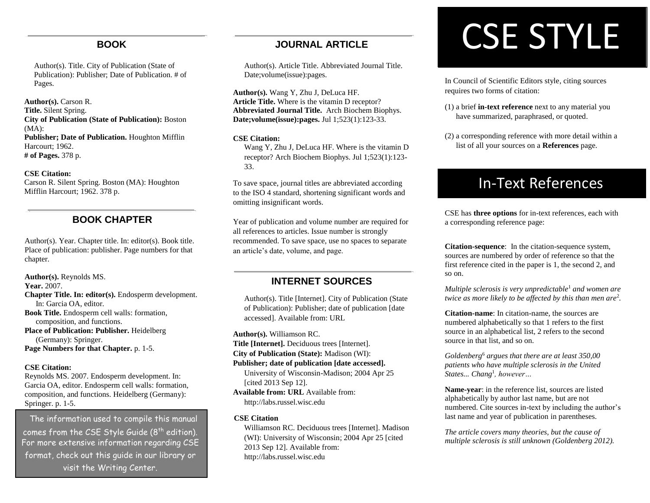#### **BOOK**

Author(s). Title. City of Publication (State of Publication): Publisher; Date of Publication. # of Pages.

**Author(s).** Carson R. **Title.** Silent Spring. **City of Publication (State of Publication):** Boston (MA): **Publisher; Date of Publication.** Houghton Mifflin Harcourt; 1962. **# of Pages.** 378 p.

#### **CSE Citation:**

Carson R. Silent Spring. Boston (MA): Houghton Mifflin Harcourt; 1962. 378 p.

## **BOOK CHAPTER**

Author(s). Year. Chapter title. In: editor(s). Book title. Place of publication: publisher. Page numbers for that chapter.

**Author(s).** Reynolds MS. **Year.** 2007. **Chapter Title. In: editor(s).** Endosperm development. In: Garcia OA, editor. **Book Title.** Endosperm cell walls: formation, composition, and functions.

**Place of Publication: Publisher.** Heidelberg (Germany): Springer. **Page Numbers for that Chapter.** p. 1-5.

#### **CSE Citation:**

Reynolds MS. 2007. Endosperm development. In: Garcia OA, editor. Endosperm cell walls: formation, composition, and functions. Heidelberg (Germany): Springer. p. 1-5.

The information used to compile this manual comes from the CSE Style Guide (8<sup>th</sup> edition). For more extensive information regarding CSE format, check out this guide in our library or visit the Writing Center.

#### **JOURNAL ARTICLE**

Author(s). Article Title. Abbreviated Journal Title. Date;volume(issue):pages.

**Author(s).** Wang Y, Zhu J, DeLuca HF. **Article Title.** Where is the vitamin D receptor? **Abbreviated Journal Title.** Arch Biochem Biophys. **Date;volume(issue):pages.** Jul 1;523(1):123-33.

#### **CSE Citation:**

Wang Y, Zhu J, DeLuca HF. Where is the vitamin D receptor? Arch Biochem Biophys. Jul 1;523(1):123- 33.

To save space, journal titles are abbreviated according to the ISO 4 standard, shortening significant words and omitting insignificant words.

Year of publication and volume number are required for all references to articles. Issue number is strongly recommended. To save space, use no spaces to separate an article's date, volume, and page.

#### **INTERNET SOURCES**

Author(s). Title [Internet]. City of Publication (State of Publication): Publisher; date of publication [date accessed]. Available from: URL

**Author(s).** Williamson RC.

**Title [Internet].** Deciduous trees [Internet].

**City of Publication (State):** Madison (WI):

#### **Publisher; date of publication [date accessed].**

University of Wisconsin-Madison; 2004 Apr 25 [cited 2013 Sep 12].

**Available from: URL** Available from: http://labs.russel.wisc.edu

#### **CSE Citation**

Williamson RC. Deciduous trees [Internet]. Madison (WI): University of Wisconsin; 2004 Apr 25 [cited 2013 Sep 12]. Available from: http://labs.russel.wisc.edu

# CSE STYLE

In Council of Scientific Editors style, citing sources requires two forms of citation:

- (1) a brief **in-text reference** next to any material you have summarized, paraphrased, or quoted.
- (2) a corresponding reference with more detail within a list of all your sources on a **References** page.

## In-Text References

CSE has **three options** for in-text references, each with a corresponding reference page:

**Citation-sequence**: In the citation-sequence system, sources are numbered by order of reference so that the first reference cited in the paper is 1, the second 2, and so on.

*Multiple sclerosis is very unpredictable*<sup>1</sup> *and women are twice as more likely to be affected by this than men are*<sup>2</sup> *.*

**Citation-name**: In citation-name, the sources are numbered alphabetically so that 1 refers to the first source in an alphabetical list, 2 refers to the second source in that list, and so on.

*Goldenberg* <sup>6</sup> *argues that there are at least 350,00 patients who have multiple sclerosis in the United States... Chang*<sup>1</sup> *, however…* 

**Name-year**: in the reference list, sources are listed alphabetically by author last name, but are not numbered. Cite sources in-text by including the author's last name and year of publication in parentheses.

*The article covers many theories, but the cause of multiple sclerosis is still unknown (Goldenberg 2012).*